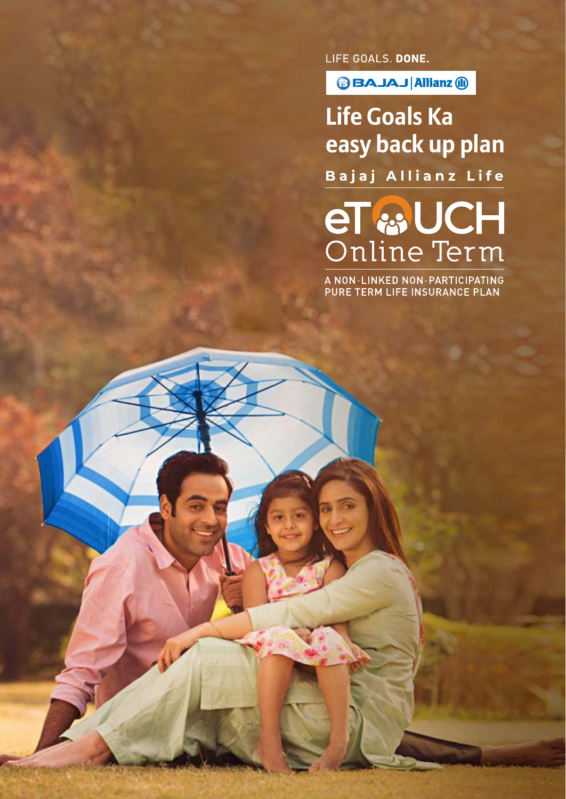**BBAJAJ Allianz @** 

**Life Goals Ka easy back up plan**Bajaj Allianz Life

el<br>Online Term

A NON-LINKED NON-PARTICIPATING<br>PURE TERM LIFE INSURANCE PLAN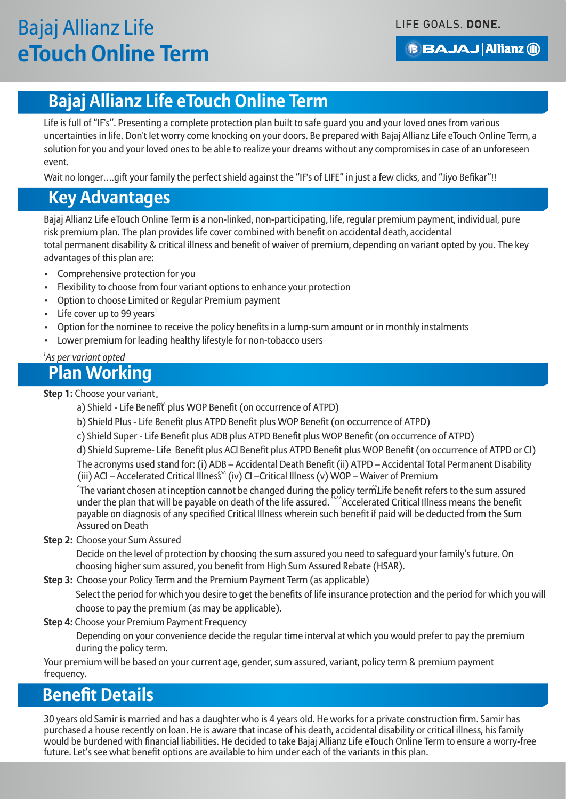### **BBAJAJ Allianz @**

### **Bajaj Allianz Life eTouch Online Term**

Life is full of "IF's". Presenting a complete protection plan built to safe guard you and your loved ones from various uncertainties in life. Don't let worry come knocking on your doors. Be prepared with Bajaj Allianz Life eTouch Online Term, a solution for you and your loved ones to be able to realize your dreams without any compromises in case of an unforeseen event.

Wait no longer....gift your family the perfect shield against the "IF's of LIFE" in just a few clicks, and "Jiyo Befikar"!!

### **Key Advantages**

Bajaj Allianz Life eTouch Online Term is a non-linked, non-participating, life, regular premium payment, individual, pure risk premium plan. The plan provides life cover combined with benefit on accidental death, accidental total permanent disability & critical illness and benefit of waiver of premium, depending on variant opted by you. The key advantages of this plan are:

- Comprehensive protection for you
- Flexibility to choose from four variant options to enhance your protection
- Option to choose Limited or Regular Premium payment
- Life cover up to 99 years<sup>1</sup>
- Option for the nominee to receive the policy benefits in a lump-sum amount or in monthly instalments
- Lower premium for leading healthy lifestyle for non-tobacco users

#### *1 As per variant opted*

### **Plan Working**

^ **Step 1:** Choose your variant

- a) Shield Life Benefit plus WOP Benefit (on occurrence of ATPD)
- b) Shield Plus Life Benefit plus ATPD Benefit plus WOP Benefit (on occurrence of ATPD)
- c) Shield Super Life Benefit plus ADB plus ATPD Benefit plus WOP Benefit (on occurrence of ATPD)

d) Shield Supreme- Life Benefit plus ACI Benefit plus ATPD Benefit plus WOP Benefit (on occurrence of ATPD or CI)

The acronyms used stand for: (i) ADB – Accidental Death Benefit (ii) ATPD – Accidental Total Permanent Disability (iii) ACI – Accelerated Critical Illness (iv) CI –Critical Illness (v) WOP – Waiver of Premium

 $\hat{a}$  The variant chosen at inception cannot be changed during the policy term. Life benefit refers to the sum assured under the plan that will be payable on death of the life assured.  $\lambda$ Accelerated Critical Illness means the benefit payable on diagnosis of any specified Critical Illness wherein such benefit if paid will be deducted from the Sum Assured on Death

#### **Step 2:** Choose your Sum Assured

Decide on the level of protection by choosing the sum assured you need to safeguard your family's future. On choosing higher sum assured, you benefit from High Sum Assured Rebate (HSAR).

**Step 3:** Choose your Policy Term and the Premium Payment Term (as applicable)

 Select the period for which you desire to get the benefits of life insurance protection and the period for which you will choose to pay the premium (as may be applicable).

**Step 4:** Choose your Premium Payment Frequency

Depending on your convenience decide the regular time interval at which you would prefer to pay the premium during the policy term.

Your premium will be based on your current age, gender, sum assured, variant, policy term & premium payment frequency.

### **Benefit Details**

30 years old Samir is married and has a daughter who is 4 years old. He works for a private construction firm. Samir has purchased a house recently on loan. He is aware that incase of his death, accidental disability or critical illness, his family would be burdened with financial liabilities. He decided to take Bajaj Allianz Life eTouch Online Term to ensure a worry-free future. Let's see what benefit options are available to him under each of the variants in this plan.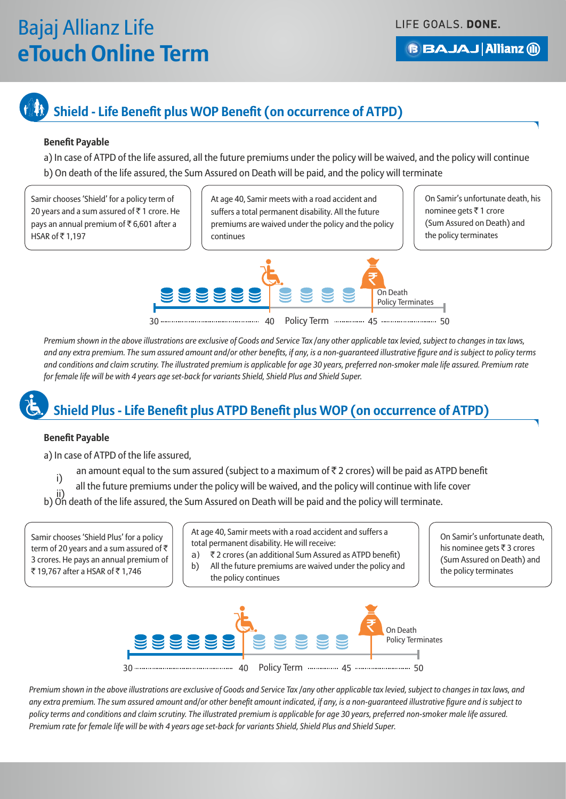LIFE GOALS. DONE.

**BBAJAJ Allianz (ii)** 

## **Shield - Life Benefit plus WOP Benefit (on occurrence of ATPD)**

#### **Benefit Payable**

a) In case of ATPD of the life assured, all the future premiums under the policy will be waived, and the policy will continue b) On death of the life assured, the Sum Assured on Death will be paid, and the policy will terminate

Samir chooses 'Shield' for a policy term of 20 years and a sum assured of  $\bar{z}$  1 crore. He pays an annual premium of  $\bar{\tau}$  6,601 after a HSAR of ` 1,197

At age 40, Samir meets with a road accident and suffers a total permanent disability. All the future premiums are waived under the policy and the policy continues

On Samir's unfortunate death, his nominee gets  $\bar{z}$  1 crore (Sum Assured on Death) and the policy terminates



*Premium shown in the above illustrations are exclusive of Goods and Service Tax /any other applicable tax levied, subject to changes in tax laws, and any extra premium. The sum assured amount and/or other benefits, if any, is a non-guaranteed illustrative figure and is subject to policy terms and conditions and claim scrutiny. The illustrated premium is applicable for age 30 years, preferred non-smoker male life assured. Premium rate for female life will be with 4 years age set-back for variants Shield, Shield Plus and Shield Super.*

## **Shield Plus - Life Benefit plus ATPD Benefit plus WOP (on occurrence of ATPD)**

#### **Benefit Payable**

a) In case of ATPD of the life assured,

- i) an amount equal to the sum assured (subject to a maximum of  $\bar{z}$  2 crores) will be paid as ATPD benefit
- all the future premiums under the policy will be waived, and the policy will continue with life cover
- b) On death of the life assured, the Sum Assured on Death will be paid and the policy will terminate.

Samir chooses 'Shield Plus' for a policy term of 20 years and a sum assured of  $\bar{z}$ 3 crores. He pays an annual premium of ₹ 19,767 after a HSAR of ₹ 1,746

At age 40, Samir meets with a road accident and suffers a total permanent disability. He will receive:

- a) ₹ 2 crores (an additional Sum Assured as ATPD benefit)
- b) All the future premiums are waived under the policy and the policy continues

On Samir's unfortunate death, his nominee gets  $\bar{\tau}$  3 crores (Sum Assured on Death) and the policy terminates



*Premium shown in the above illustrations are exclusive of Goods and Service Tax /any other applicable tax levied, subject to changes in tax laws, and any extra premium. The sum assured amount and/or other benefit amount indicated, if any, is a non-guaranteed illustrative figure and is subject to policy terms and conditions and claim scrutiny. The illustrated premium is applicable for age 30 years, preferred non-smoker male life assured. Premium rate for female life will be with 4 years age set-back for variants Shield, Shield Plus and Shield Super.*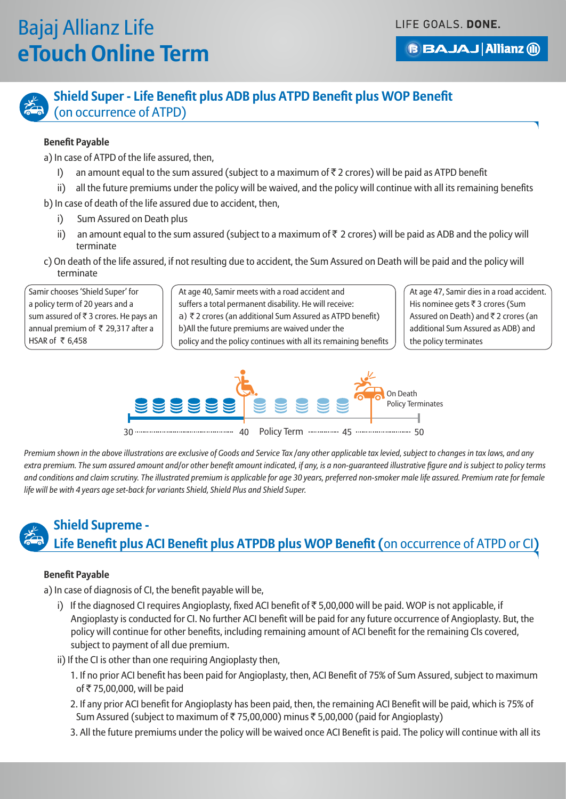LIFE GOALS. DONE.

**BBAJAJ Allianz (ii)** 



### **Shield Super - Life Benefit plus ADB plus ATPD Benefit plus WOP Benefit**  (on occurrence of ATPD)

#### **Benefit Payable**

a) In case of ATPD of the life assured, then,

- I) an amount equal to the sum assured (subject to a maximum of  $\bar{z}$  2 crores) will be paid as ATPD benefit
- ii) all the future premiums under the policy will be waived, and the policy will continue with all its remaining benefits
- b) In case of death of the life assured due to accident, then,
	- i) Sum Assured on Death plus
	- ii) an amount equal to the sum assured (subject to a maximum of  $\bar{z}$  2 crores) will be paid as ADB and the policy will terminate
- c) On death of the life assured, if not resulting due to accident, the Sum Assured on Death will be paid and the policy will terminate

Samir chooses 'Shield Super' for a policy term of 20 years and a sum assured of  $\bar{\tau}$  3 crores. He pays an annual premium of  $\bar{\tau}$  29,317 after a HSAR of  $\bar{\tau}$  6,458

At age 40, Samir meets with a road accident and suffers a total permanent disability. He will receive: a)  $\bar{\tau}$  2 crores (an additional Sum Assured as ATPD benefit) b)All the future premiums are waived under the policy and the policy continues with all its remaining benefits At age 47, Samir dies in a road accident. His nominee gets  $\overline{\tau}$  3 crores (Sum Assured on Death) and  $\bar{z}$  2 crores (an additional Sum Assured as ADB) and the policy terminates



*Premium shown in the above illustrations are exclusive of Goods and Service Tax /any other applicable tax levied, subject to changes in tax laws, and any extra premium. The sum assured amount and/or other benefit amount indicated, if any, is a non-guaranteed illustrative figure and is subject to policy terms*  and conditions and claim scrutiny. The illustrated premium is applicable for age 30 years, preferred non-smoker male life assured. Premium rate for female *life will be with 4 years age set-back for variants Shield, Shield Plus and Shield Super.*

### **Shield Supreme -**

### **Life Benefit plus ACI Benefit plus ATPDB plus WOP Benefit (**on occurrence of ATPD or CI**)**

#### **Benefit Payable**

a) In case of diagnosis of CI, the benefit payable will be,

- i) If the diagnosed CI requires Angioplasty, fixed ACI benefit of  $\bar{\tau}$  5,00,000 will be paid. WOP is not applicable, if Angioplasty is conducted for CI. No further ACI benefit will be paid for any future occurrence of Angioplasty. But, the policy will continue for other benefits, including remaining amount of ACI benefit for the remaining CIs covered, subject to payment of all due premium.
- ii) If the CI is other than one requiring Angioplasty then,
	- 1. If no prior ACI benefit has been paid for Angioplasty, then, ACI Benefit of 75% of Sum Assured, subject to maximum of ₹75,00,000, will be paid
	- 2. If any prior ACI benefit for Angioplasty has been paid, then, the remaining ACI Benefit will be paid, which is 75% of Sum Assured (subject to maximum of ₹75,00,000) minus ₹5,00,000 (paid for Angioplasty)
	- 3. All the future premiums under the policy will be waived once ACI Benefit is paid. The policy will continue with all its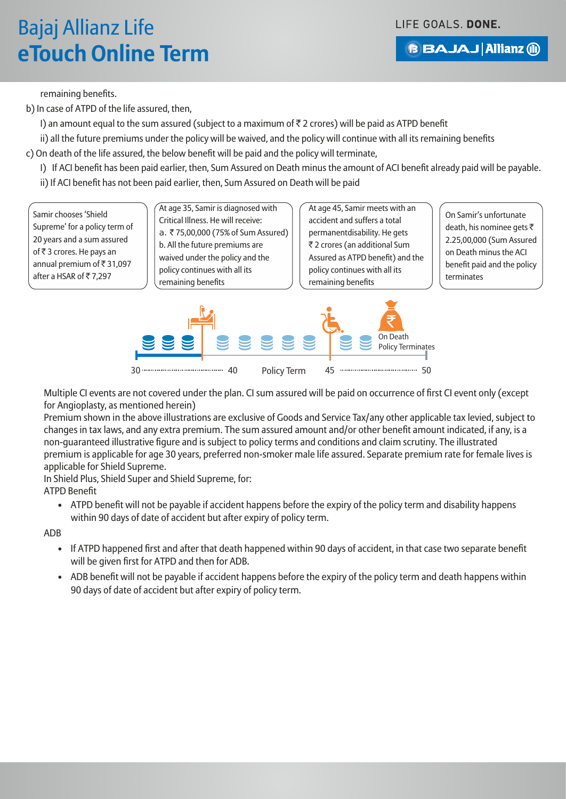LIFE GOALS. DONE.

### **BBAJAJ Allianz (ii)**

remaining benefits.

b) In case of ATPD of the life assured, then,

I) an amount equal to the sum assured (subject to a maximum of  $\bar{\tau}$  2 crores) will be paid as ATPD benefit

ii) all the future premiums under the policy will be waived, and the policy will continue with all its remaining benefits

c) On death of the life assured, the below benefit will be paid and the policy will terminate,

I) If ACI benefit has been paid earlier, then, Sum Assured on Death minus the amount of ACI benefit already paid will be payable.

ii) If ACI benefit has not been paid earlier, then, Sum Assured on Death will be paid

Samir chooses 'Shield Supreme' for a policy term of 20 years and a sum assured of ₹3 crores. He pays an annual premium of  $\bar{\bar{\tau}}$  31,097 after a HSAR of ₹7,297

At age 35, Samir is diagnosed with Critical Illness. He will receive: a. ₹75,00,000 (75% of Sum Assured) b. All the future premiums are waived under the policy and the policy continues with all its remaining benefits

At age 45, Samir meets with an accident and suffers a total permanentdisability. He gets ` 2 crores (an additional Sum Assured as ATPD benefit) and the policy continues with all its remaining benefits

On Samir's unfortunate death, his nominee gets ₹ 2.25,00,000 (Sum Assured on Death minus the ACI benefit paid and the policy terminates



Multiple CI events are not covered under the plan. CI sum assured will be paid on occurrence of first CI event only (except for Angioplasty, as mentioned herein)

Premium shown in the above illustrations are exclusive of Goods and Service Tax/any other applicable tax levied, subject to changes in tax laws, and any extra premium. The sum assured amount and/or other benefit amount indicated, if any, is a non-guaranteed illustrative figure and is subject to policy terms and conditions and claim scrutiny. The illustrated premium is applicable for age 30 years, preferred non-smoker male life assured. Separate premium rate for female lives is applicable for Shield Supreme.

In Shield Plus, Shield Super and Shield Supreme, for:

ATPD Benefit

• ATPD benefit will not be payable if accident happens before the expiry of the policy term and disability happens within 90 days of date of accident but after expiry of policy term.

ADB

- If ATPD happened first and after that death happened within 90 days of accident, in that case two separate benefit will be given first for ATPD and then for ADB.
- ADB benefit will not be payable if accident happens before the expiry of the policy term and death happens within 90 days of date of accident but after expiry of policy term.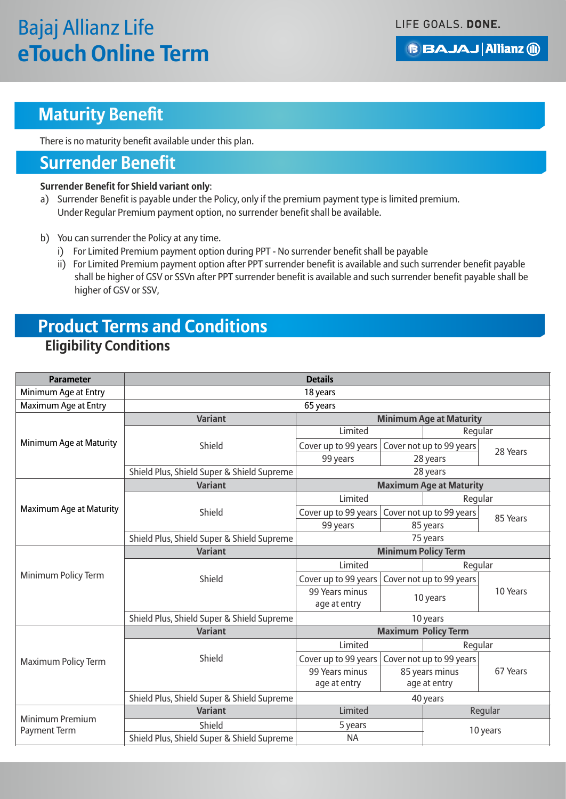**BBAJAJ Allianz (ii)** 

### **Maturity Benefit**

There is no maturity benefit available under this plan.

### **Surrender Benefit**

#### **Surrender Benefit for Shield variant only**:

- a) Surrender Benefit is payable under the Policy, only if the premium payment type is limited premium. Under Regular Premium payment option, no surrender benefit shall be available.
- b) You can surrender the Policy at any time.
	- i) For Limited Premium payment option during PPT No surrender benefit shall be payable
	- ii) For Limited Premium payment option after PPT surrender benefit is available and such surrender benefit payable shall be higher of GSV or SSVn after PPT surrender benefit is available and such surrender benefit payable shall be higher of GSV or SSV,

### **Eligibility Conditions Product Terms and Conditions**

| <b>Parameter</b>                              | <b>Details</b>                             |                                |                          |                          |          |  |
|-----------------------------------------------|--------------------------------------------|--------------------------------|--------------------------|--------------------------|----------|--|
| Minimum Age at Entry                          | 18 years                                   |                                |                          |                          |          |  |
| Maximum Age at Entry                          | 65 years                                   |                                |                          |                          |          |  |
|                                               | <b>Variant</b>                             | <b>Minimum Age at Maturity</b> |                          |                          |          |  |
|                                               |                                            | Limited                        |                          | Regular                  |          |  |
| Minimum Age at Maturity                       | Shield                                     | Cover up to 99 years           | Cover not up to 99 years |                          | 28 Years |  |
|                                               |                                            | 99 years                       | 28 years                 |                          |          |  |
|                                               | Shield Plus, Shield Super & Shield Supreme | 28 years                       |                          |                          |          |  |
|                                               | <b>Variant</b>                             | <b>Maximum Age at Maturity</b> |                          |                          |          |  |
|                                               |                                            | Limited                        |                          | Regular                  |          |  |
| Maximum Age at Maturity                       | Shield                                     | Cover up to 99 years           |                          | Cover not up to 99 years | 85 Years |  |
|                                               |                                            | 99 years                       | 85 years                 |                          |          |  |
|                                               | Shield Plus, Shield Super & Shield Supreme |                                |                          | 75 years                 |          |  |
|                                               | <b>Variant</b>                             | <b>Minimum Policy Term</b>     |                          |                          |          |  |
|                                               |                                            | Limited                        |                          | Regular                  |          |  |
| Minimum Policy Term                           | Shield                                     | Cover up to 99 years           |                          | Cover not up to 99 years |          |  |
|                                               |                                            | 99 Years minus                 |                          |                          | 10 Years |  |
|                                               |                                            | age at entry                   | 10 years                 |                          |          |  |
|                                               | Shield Plus, Shield Super & Shield Supreme | 10 years                       |                          |                          |          |  |
| <b>Maximum Policy Term</b>                    | <b>Variant</b>                             | <b>Maximum Policy Term</b>     |                          |                          |          |  |
|                                               |                                            | Limited                        |                          | Regular                  |          |  |
|                                               | Shield                                     | Cover up to 99 years           |                          | Cover not up to 99 years |          |  |
|                                               |                                            | 99 Years minus                 |                          | 85 years minus           | 67 Years |  |
|                                               |                                            | age at entry                   |                          | age at entry             |          |  |
|                                               | Shield Plus, Shield Super & Shield Supreme | 40 years                       |                          |                          |          |  |
| <b>Minimum Premium</b><br><b>Payment Term</b> | <b>Variant</b>                             | Limited                        |                          |                          | Regular  |  |
|                                               | Shield                                     | 5 years                        |                          | 10 years                 |          |  |
|                                               | Shield Plus, Shield Super & Shield Supreme | <b>NA</b>                      |                          |                          |          |  |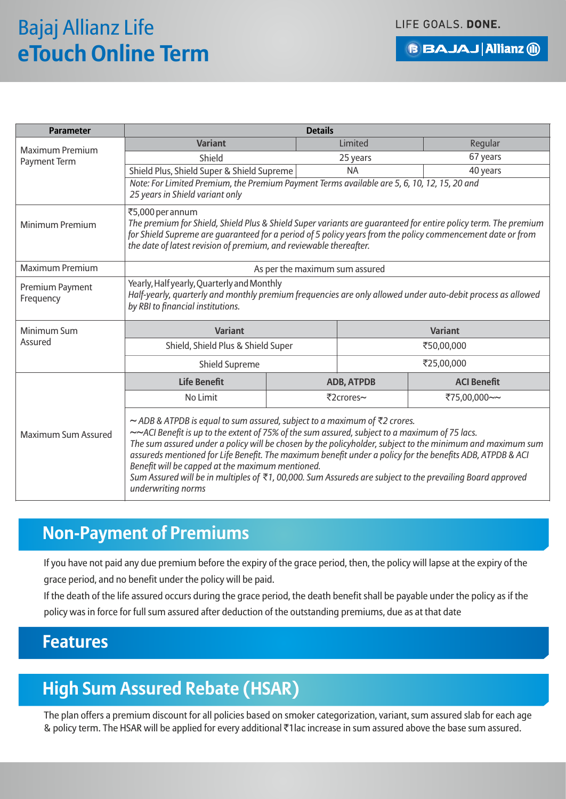LIFE GOALS. DONE.

**BBAJAJ Allianz (ii)** 

| <b>Parameter</b>                       | <b>Details</b>                                                                                                                                                                                                                                                                                                                                                                                                                                                                                                                                                                                                       |                   |                    |  |
|----------------------------------------|----------------------------------------------------------------------------------------------------------------------------------------------------------------------------------------------------------------------------------------------------------------------------------------------------------------------------------------------------------------------------------------------------------------------------------------------------------------------------------------------------------------------------------------------------------------------------------------------------------------------|-------------------|--------------------|--|
| <b>Maximum Premium</b><br>Payment Term | <b>Variant</b>                                                                                                                                                                                                                                                                                                                                                                                                                                                                                                                                                                                                       | Limited           | Regular            |  |
|                                        | Shield                                                                                                                                                                                                                                                                                                                                                                                                                                                                                                                                                                                                               | 25 years          | 67 years           |  |
|                                        | Shield Plus, Shield Super & Shield Supreme                                                                                                                                                                                                                                                                                                                                                                                                                                                                                                                                                                           | <b>NA</b>         | 40 years           |  |
|                                        | Note: For Limited Premium, the Premium Payment Terms available are 5, 6, 10, 12, 15, 20 and<br>25 years in Shield variant only                                                                                                                                                                                                                                                                                                                                                                                                                                                                                       |                   |                    |  |
| Minimum Premium                        | ₹5,000 per annum<br>The premium for Shield, Shield Plus & Shield Super variants are guaranteed for entire policy term. The premium<br>for Shield Supreme are guaranteed for a period of 5 policy years from the policy commencement date or from<br>the date of latest revision of premium, and reviewable thereafter.                                                                                                                                                                                                                                                                                               |                   |                    |  |
| <b>Maximum Premium</b>                 | As per the maximum sum assured                                                                                                                                                                                                                                                                                                                                                                                                                                                                                                                                                                                       |                   |                    |  |
| Premium Payment<br>Frequency           | Yearly, Half yearly, Quarterly and Monthly<br>Half-yearly, quarterly and monthly premium frequencies are only allowed under auto-debit process as allowed<br>by RBI to financial institutions.                                                                                                                                                                                                                                                                                                                                                                                                                       |                   |                    |  |
| Minimum Sum                            | <b>Variant</b>                                                                                                                                                                                                                                                                                                                                                                                                                                                                                                                                                                                                       |                   | <b>Variant</b>     |  |
| Assured                                | Shield, Shield Plus & Shield Super                                                                                                                                                                                                                                                                                                                                                                                                                                                                                                                                                                                   |                   | ₹50,00,000         |  |
|                                        | Shield Supreme                                                                                                                                                                                                                                                                                                                                                                                                                                                                                                                                                                                                       |                   |                    |  |
|                                        | <b>Life Benefit</b>                                                                                                                                                                                                                                                                                                                                                                                                                                                                                                                                                                                                  | <b>ADB, ATPDB</b> | <b>ACI Benefit</b> |  |
|                                        | No Limit                                                                                                                                                                                                                                                                                                                                                                                                                                                                                                                                                                                                             | ₹2crores~         | ₹75,00,000~~       |  |
| Maximum Sum Assured                    | ~ ADB & ATPDB is equal to sum assured, subject to a maximum of $\bar{z}$ 2 crores.<br>~~ACI Benefit is up to the extent of 75% of the sum assured, subject to a maximum of 75 lacs.<br>The sum assured under a policy will be chosen by the policyholder, subject to the minimum and maximum sum<br>assureds mentioned for Life Benefit. The maximum benefit under a policy for the benefits ADB, ATPDB & ACI<br>Benefit will be capped at the maximum mentioned.<br>Sum Assured will be in multiples of $\overline{\xi}$ 1, 00,000. Sum Assureds are subject to the prevailing Board approved<br>underwriting norms |                   |                    |  |

### **Non-Payment of Premiums**

If you have not paid any due premium before the expiry of the grace period, then, the policy will lapse at the expiry of the grace period, and no benefit under the policy will be paid.

If the death of the life assured occurs during the grace period, the death benefit shall be payable under the policy as if the policy was in force for full sum assured after deduction of the outstanding premiums, due as at that date

### **Features**

## **High Sum Assured Rebate (HSAR)**

The plan offers a premium discount for all policies based on smoker categorization, variant, sum assured slab for each age & policy term. The HSAR will be applied for every additional  $\overline{\tau}$ 1 lac increase in sum assured above the base sum assured.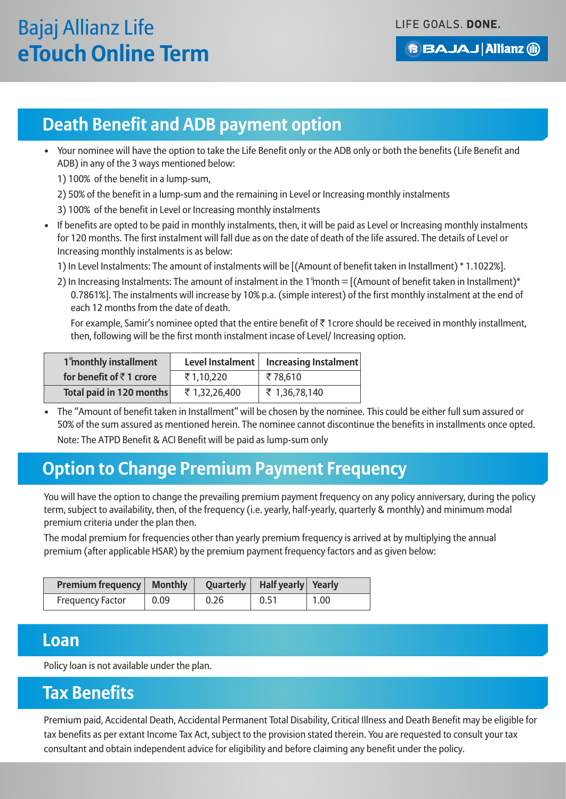**BBAJAJ Allianz (ii)** 

### **Death Benefit and ADB payment option**

• Your nominee will have the option to take the Life Benefit only or the ADB only or both the benefits (Life Benefit and ADB) in any of the 3 ways mentioned below:

1) 100% of the benefit in a lump-sum,

2) 50% of the benefit in a lump-sum and the remaining in Level or Increasing monthly instalments

3) 100% of the benefit in Level or Increasing monthly instalments

• If benefits are opted to be paid in monthly instalments, then, it will be paid as Level or Increasing monthly instalments for 120 months. The first instalment will fall due as on the date of death of the life assured. The details of Level or Increasing monthly instalments is as below:

1) In Level Instalments: The amount of instalments will be [(Amount of benefit taken in Installment) \* 1.1022%].

2) In Increasing Instalments: The amount of instalment in the 1 month =  $[(Amount of benefit taken in Instant)*]$ 0.7861%]. The instalments will increase by 10% p.a. (simple interest) of the first monthly instalment at the end of each 12 months from the date of death.

For example, Samir's nominee opted that the entire benefit of  $\bar{\tau}$  1 crore should be received in monthly installment, then, following will be the first month instalment incase of Level/ Increasing option.

| 1 <sup>s</sup> monthly installment | Level Instalment | <b>Increasing Instalment</b> |  |
|------------------------------------|------------------|------------------------------|--|
| for benefit of ₹1 crore            | ₹1,10,220        | ₹78,610                      |  |
| Total paid in 120 months           | ₹ 1,32,26,400    | ₹ 1,36,78,140                |  |

• The "Amount of benefit taken in Installment" will be chosen by the nominee. This could be either full sum assured or 50% of the sum assured as mentioned herein. The nominee cannot discontinue the benefits in installments once opted. Note: The ATPD Benefit & ACI Benefit will be paid as lump-sum only

## **Option to Change Premium Payment Frequency**

You will have the option to change the prevailing premium payment frequency on any policy anniversary, during the policy term, subject to availability, then, of the frequency (i.e. yearly, half-yearly, quarterly & monthly) and minimum modal premium criteria under the plan then.

The modal premium for frequencies other than yearly premium frequency is arrived at by multiplying the annual premium (after applicable HSAR) by the premium payment frequency factors and as given below:

| <b>Premium frequency   Monthly</b> |      |      | Quarterly   Half yearly   Yearly |                   |
|------------------------------------|------|------|----------------------------------|-------------------|
| <b>Frequency Factor</b>            | 0.09 | 0.26 | 0.51                             | 1.00 <sub>1</sub> |

### **Loan**

Policy loan is not available under the plan.

### **Tax Benefits**

Premium paid, Accidental Death, Accidental Permanent Total Disability, Critical Illness and Death Benefit may be eligible for tax benefits as per extant Income Tax Act, subject to the provision stated therein. You are requested to consult your tax consultant and obtain independent advice for eligibility and before claiming any benefit under the policy.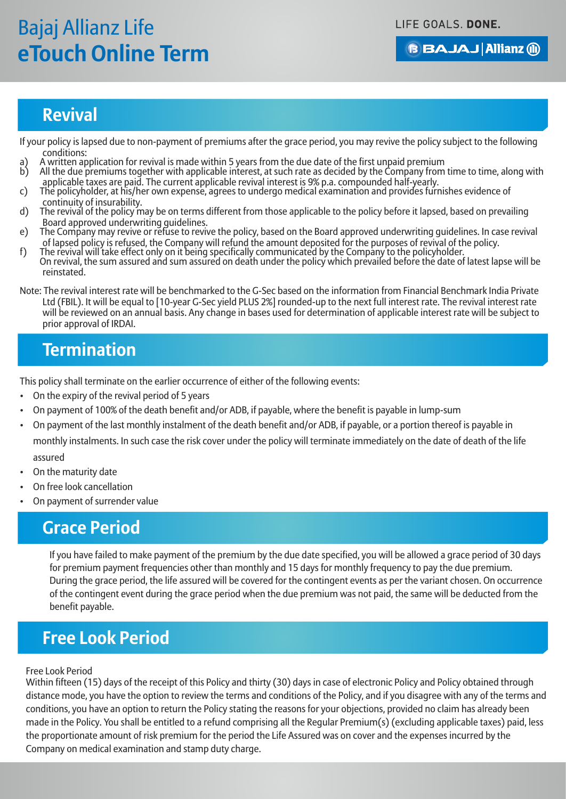LIFE GOALS. DONE.

### **BBAJAJ Allianz (ii)**

### **Revival**

If your policy is lapsed due to non-payment of premiums after the grace period, you may revive the policy subject to the following conditions:

- a) A written application for revival is made within 5 years from the due date of the first unpaid premium<br>b) All the due premiums together with applicable interest at such rate as decided by the Company from b) All the due premiums together with applicable interest, at such rate as decided by the Company from time to time, along with
- applicable taxes are paid. The current applicable revival interest is 9% p.a. compounded half-yearly.
- c) The policyholder, at his/her own expense, agrees to undergo medical examination and provides furnishes evidence of continuity of insurability.
- d) The revival of the policy may be on terms different from those applicable to the policy before it lapsed, based on prevailing Board approved underwriting guidelines.
- e) The Company may revive or refuse to revive the policy, based on the Board approved underwriting guidelines. In case revival of lapsed policy is refused, the Company will refund the amount deposited for the purposes of revival of the policy.
- f) The revival will take effect only on it being specifically communicated by the Company to the policyholder. On revival, the sum assured and sum assured on death under the policy which prevailed before the date of latest lapse will be reinstated.
- Note: The revival interest rate will be benchmarked to the G-Sec based on the information from Financial Benchmark India Private Ltd (FBIL). It will be equal to [10-year G-Sec yield PLUS 2%] rounded-up to the next full interest rate. The revival interest rate will be reviewed on an annual basis. Any change in bases used for determination of applicable interest rate will be subject to prior approval of IRDAI.

### **Termination**

This policy shall terminate on the earlier occurrence of either of the following events:

- On the expiry of the revival period of 5 years
- On payment of 100% of the death benefit and/or ADB, if payable, where the benefit is payable in lump-sum
- On payment of the last monthly instalment of the death benefit and/or ADB, if payable, or a portion thereof is payable in

monthly instalments. In such case the risk cover under the policy will terminate immediately on the date of death of the life assured

- On the maturity date
- On free look cancellation
- On payment of surrender value

## **Grace Period**

If you have failed to make payment of the premium by the due date specified, you will be allowed a grace period of 30 days for premium payment frequencies other than monthly and 15 days for monthly frequency to pay the due premium. During the grace period, the life assured will be covered for the contingent events as per the variant chosen. On occurrence of the contingent event during the grace period when the due premium was not paid, the same will be deducted from the benefit payable.

### **Free Look Period**

#### Free Look Period

Within fifteen (15) days of the receipt of this Policy and thirty (30) days in case of electronic Policy and Policy obtained through distance mode, you have the option to review the terms and conditions of the Policy, and if you disagree with any of the terms and conditions, you have an option to return the Policy stating the reasons for your objections, provided no claim has already been made in the Policy. You shall be entitled to a refund comprising all the Regular Premium(s) (excluding applicable taxes) paid, less the proportionate amount of risk premium for the period the Life Assured was on cover and the expenses incurred by the Company on medical examination and stamp duty charge.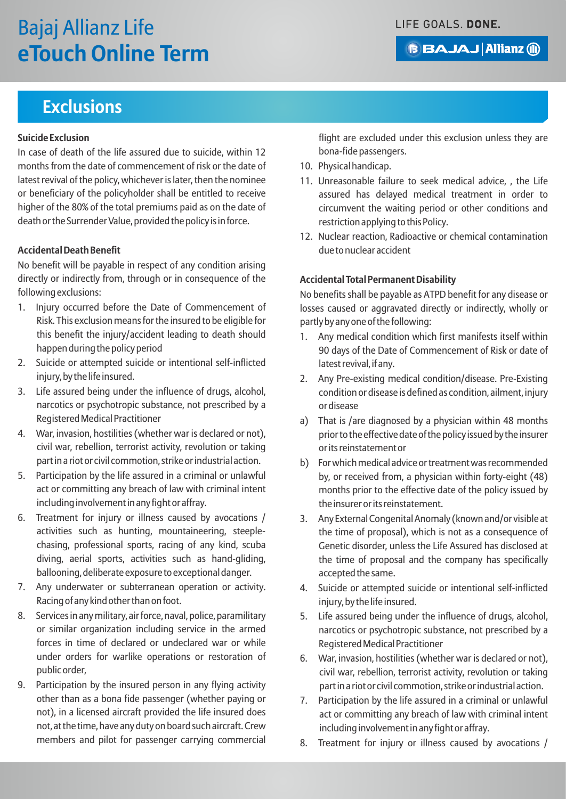### **Exclusions**

#### **Suicide Exclusion**

In case of death of the life assured due to suicide, within 12 months from the date of commencement of risk or the date of latest revival of the policy, whichever is later, then the nominee or beneficiary of the policyholder shall be entitled to receive higher of the 80% of the total premiums paid as on the date of death or the Surrender Value, provided the policy is in force.

#### **Accidental Death Benefit**

No benefit will be payable in respect of any condition arising directly or indirectly from, through or in consequence of the following exclusions:

- 1. Injury occurred before the Date of Commencement of Risk. This exclusion means for the insured to be eligible for this benefit the injury/accident leading to death should happen during the policy period
- 2. Suicide or attempted suicide or intentional self-inflicted injury, by the life insured.
- 3. Life assured being under the influence of drugs, alcohol, narcotics or psychotropic substance, not prescribed by a Registered Medical Practitioner
- 4. War, invasion, hostilities (whether war is declared or not), civil war, rebellion, terrorist activity, revolution or taking part in a riot or civil commotion, strike or industrial action.
- 5. Participation by the life assured in a criminal or unlawful act or committing any breach of law with criminal intent including involvement in any fight or affray.
- 6. Treatment for injury or illness caused by avocations / activities such as hunting, mountaineering, steeplechasing, professional sports, racing of any kind, scuba diving, aerial sports, activities such as hand-gliding, ballooning, deliberate exposure to exceptional danger.
- 7. Any underwater or subterranean operation or activity. Racing of any kind other than on foot.
- 8. Services in any military, air force, naval, police, paramilitary or similar organization including service in the armed forces in time of declared or undeclared war or while under orders for warlike operations or restoration of public order,
- 9. Participation by the insured person in any flying activity other than as a bona fide passenger (whether paying or not), in a licensed aircraft provided the life insured does not, at the time, have any duty on board such aircraft. Crew members and pilot for passenger carrying commercial

flight are excluded under this exclusion unless they are bona-fide passengers.

- 10. Physical handicap.
- 11. Unreasonable failure to seek medical advice, , the Life assured has delayed medical treatment in order to circumvent the waiting period or other conditions and restriction applying to this Policy.
- 12. Nuclear reaction, Radioactive or chemical contamination due to nuclear accident

#### **Accidental Total Permanent Disability**

No benefits shall be payable as ATPD benefit for any disease or losses caused or aggravated directly or indirectly, wholly or partly by any one of the following:

- 1. Any medical condition which first manifests itself within 90 days of the Date of Commencement of Risk or date of latest revival, if any.
- 2. Any Pre-existing medical condition/disease. Pre-Existing condition or disease is defined as condition, ailment, injury or disease
- a) That is /are diagnosed by a physician within 48 months prior to the effective date of the policy issued by the insurer or its reinstatement or
- b) For which medical advice or treatment was recommended by, or received from, a physician within forty-eight (48) months prior to the effective date of the policy issued by the insurer or its reinstatement.
- 3. Any External Congenital Anomaly (known and/or visible at the time of proposal), which is not as a consequence of Genetic disorder, unless the Life Assured has disclosed at the time of proposal and the company has specifically accepted the same.
- 4. Suicide or attempted suicide or intentional self-inflicted injury, by the life insured.
- 5. Life assured being under the influence of drugs, alcohol, narcotics or psychotropic substance, not prescribed by a Registered Medical Practitioner
- 6. War, invasion, hostilities (whether war is declared or not), civil war, rebellion, terrorist activity, revolution or taking part in a riot or civil commotion, strike or industrial action.
- 7. Participation by the life assured in a criminal or unlawful act or committing any breach of law with criminal intent including involvement in any fight or affray.
- 8. Treatment for injury or illness caused by avocations /

LIFE GOALS. DONE.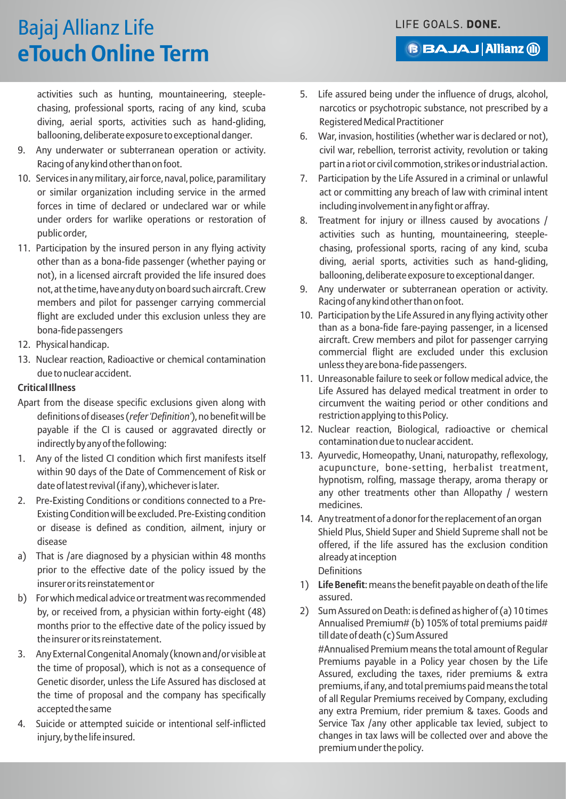**BAJAJ Allianz (ii)** 

# Bajaj Allianz Life **eTouch Online Term**

activities such as hunting, mountaineering, steeplechasing, professional sports, racing of any kind, scuba diving, aerial sports, activities such as hand-gliding, ballooning, deliberate exposure to exceptional danger.

- 9. Any underwater or subterranean operation or activity. Racing of any kind other than on foot.
- 10. Services in any military, air force, naval, police, paramilitary or similar organization including service in the armed forces in time of declared or undeclared war or while under orders for warlike operations or restoration of public order,
- 11. Participation by the insured person in any flying activity other than as a bona-fide passenger (whether paying or not), in a licensed aircraft provided the life insured does not, at the time, have any duty on board such aircraft. Crew members and pilot for passenger carrying commercial flight are excluded under this exclusion unless they are bona-fide passengers
- 12. Physical handicap.
- 13. Nuclear reaction, Radioactive or chemical contamination due to nuclear accident.

#### **Critical Illness**

- Apart from the disease specific exclusions given along with definitions of diseases (*refer 'Definition'*), no benefit will be payable if the CI is caused or aggravated directly or indirectly by any of the following:
- 1. Any of the listed CI condition which first manifests itself within 90 days of the Date of Commencement of Risk or date of latest revival (if any), whichever is later.
- 2. Pre-Existing Conditions or conditions connected to a Pre-Existing Condition will be excluded. Pre-Existing condition or disease is defined as condition, ailment, injury or disease
- a) That is /are diagnosed by a physician within 48 months prior to the effective date of the policy issued by the insurer or its reinstatement or
- b) For which medical advice or treatment was recommended by, or received from, a physician within forty-eight (48) months prior to the effective date of the policy issued by the insurer or its reinstatement.
- 3. Any External Congenital Anomaly (known and/or visible at the time of proposal), which is not as a consequence of Genetic disorder, unless the Life Assured has disclosed at the time of proposal and the company has specifically accepted the same
- 4. Suicide or attempted suicide or intentional self-inflicted injury, by the life insured.
- 5. Life assured being under the influence of drugs, alcohol, narcotics or psychotropic substance, not prescribed by a Registered Medical Practitioner
- 6. War, invasion, hostilities (whether war is declared or not), civil war, rebellion, terrorist activity, revolution or taking part in a riot or civil commotion, strikes or industrial action.
- 7. Participation by the Life Assured in a criminal or unlawful act or committing any breach of law with criminal intent including involvement in any fight or affray.
- 8. Treatment for injury or illness caused by avocations / activities such as hunting, mountaineering, steeplechasing, professional sports, racing of any kind, scuba diving, aerial sports, activities such as hand-gliding, ballooning, deliberate exposure to exceptional danger.
- 9. Any underwater or subterranean operation or activity. Racing of any kind other than on foot.
- 10. Participation by the Life Assured in any flying activity other than as a bona-fide fare-paying passenger, in a licensed aircraft. Crew members and pilot for passenger carrying commercial flight are excluded under this exclusion unless they are bona-fide passengers.
- 11. Unreasonable failure to seek or follow medical advice, the Life Assured has delayed medical treatment in order to circumvent the waiting period or other conditions and restriction applying to this Policy.
- 12. Nuclear reaction, Biological, radioactive or chemical contamination due to nuclear accident.
- 13. Ayurvedic, Homeopathy, Unani, naturopathy, reflexology, acupuncture, bone-setting, herbalist treatment, hypnotism, rolfing, massage therapy, aroma therapy or any other treatments other than Allopathy / western medicines.
- 14. Any treatment of a donor for the replacement of an organ Shield Plus, Shield Super and Shield Supreme shall not be offered, if the life assured has the exclusion condition already at inception Definitions
- 1) **Life Benefit**: means the benefit payable on death of the life assured.
- 2) Sum Assured on Death: is defined as higher of (a) 10 times Annualised Premium# (b) 105% of total premiums paid# till date of death (c) Sum Assured

#Annualised Premium means the total amount of Regular Premiums payable in a Policy year chosen by the Life Assured, excluding the taxes, rider premiums & extra premiums, if any, and total premiums paid means the total of all Regular Premiums received by Company, excluding any extra Premium, rider premium & taxes. Goods and Service Tax /any other applicable tax levied, subject to changes in tax laws will be collected over and above the premium under the policy.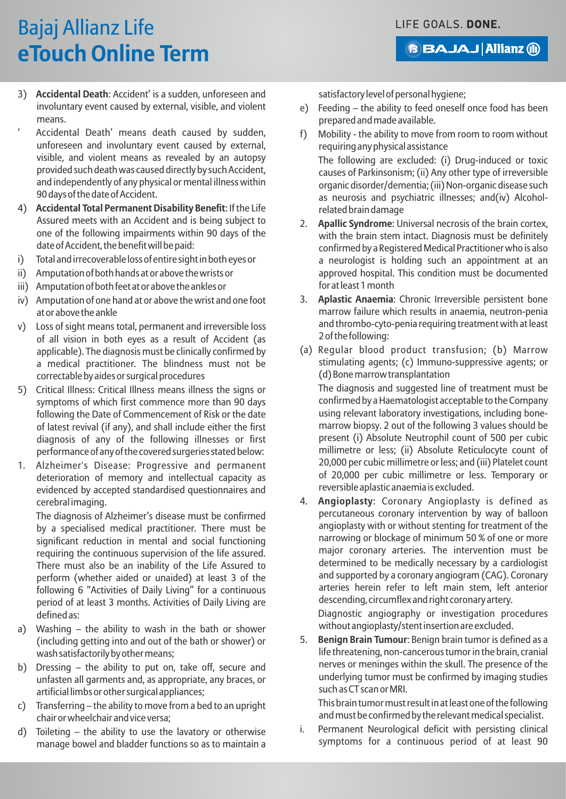**BAJAJ Allianz (ii)** 

# Bajaj Allianz Life **eTouch Online Term**

- 3) **Accidental Death**: Accident' is a sudden, unforeseen and involuntary event caused by external, visible, and violent means.
- Accidental Death' means death caused by sudden. unforeseen and involuntary event caused by external, visible, and violent means as revealed by an autopsy provided such death was caused directly by such Accident, and independently of any physical or mental illness within 90 days of the date of Accident.
- 4) **Accidental Total Permanent Disability Benefit**: If the Life Assured meets with an Accident and is being subject to one of the following impairments within 90 days of the date of Accident, the benefit will be paid:
- i) Total and irrecoverable loss of entire sight in both eyes or
- ii) Amputation of both hands at or above the wrists or
- iii) Amputation of both feet at or above the ankles or
- iv) Amputation of one hand at or above the wrist and one foot at or above the ankle
- v) Loss of sight means total, permanent and irreversible loss of all vision in both eyes as a result of Accident (as applicable). The diagnosis must be clinically confirmed by a medical practitioner. The blindness must not be correctable by aides or surgical procedures
- 5) Critical Illness: Critical Illness means illness the signs or symptoms of which first commence more than 90 days following the Date of Commencement of Risk or the date of latest revival (if any), and shall include either the first diagnosis of any of the following illnesses or first performance of any of the covered surgeries stated below:
- 1. Alzheimer's Disease: Progressive and permanent deterioration of memory and intellectual capacity as evidenced by accepted standardised questionnaires and cerebral imaging.

The diagnosis of Alzheimer's disease must be confirmed by a specialised medical practitioner. There must be significant reduction in mental and social functioning requiring the continuous supervision of the life assured. There must also be an inability of the Life Assured to perform (whether aided or unaided) at least 3 of the following 6 "Activities of Daily Living" for a continuous period of at least 3 months. Activities of Daily Living are defined as:

- a) Washing the ability to wash in the bath or shower (including getting into and out of the bath or shower) or wash satisfactorily by other means;
- b) Dressing the ability to put on, take off, secure and unfasten all garments and, as appropriate, any braces, or artificial limbs or other surgical appliances;
- c) Transferring the ability to move from a bed to an upright chair or wheelchair and vice versa;
- d) Toileting the ability to use the lavatory or otherwise manage bowel and bladder functions so as to maintain a

satisfactory level of personal hygiene;

- e) Feeding the ability to feed oneself once food has been prepared and made available.
- f) Mobility the ability to move from room to room without requiring any physical assistance

The following are excluded: (i) Drug-induced or toxic causes of Parkinsonism; (ii) Any other type of irreversible organic disorder/dementia; (iii) Non-organic disease such as neurosis and psychiatric illnesses; and(iv) Alcoholrelated brain damage

- 2. **Apallic Syndrome**: Universal necrosis of the brain cortex, with the brain stem intact. Diagnosis must be definitely confirmed by a Registered Medical Practitioner who is also a neurologist is holding such an appointment at an approved hospital. This condition must be documented for at least 1 month
- 3. **Aplastic Anaemia**: Chronic Irreversible persistent bone marrow failure which results in anaemia, neutron-penia and thrombo-cyto-penia requiring treatment with at least 2 of the following:
- (a) Regular blood product transfusion; (b) Marrow stimulating agents; (c) Immuno-suppressive agents; or (d) Bone marrow transplantation

The diagnosis and suggested line of treatment must be confirmed by a Haematologist acceptable to the Company using relevant laboratory investigations, including bonemarrow biopsy. 2 out of the following 3 values should be present (i) Absolute Neutrophil count of 500 per cubic millimetre or less; (ii) Absolute Reticulocyte count of 20,000 per cubic millimetre or less; and (iii) Platelet count of 20,000 per cubic millimetre or less. Temporary or reversible aplastic anaemia is excluded.

4. **Angioplasty**: Coronary Angioplasty is defined as percutaneous coronary intervention by way of balloon angioplasty with or without stenting for treatment of the narrowing or blockage of minimum 50 % of one or more major coronary arteries. The intervention must be determined to be medically necessary by a cardiologist and supported by a coronary angiogram (CAG). Coronary arteries herein refer to left main stem, left anterior descending, circumflex and right coronary artery. Diagnostic angiography or investigation procedures

without angioplasty/stent insertion are excluded. 5. **Benign Brain Tumour**: Benign brain tumor is defined as a life threatening, non-cancerous tumor in the brain, cranial nerves or meninges within the skull. The presence of the underlying tumor must be confirmed by imaging studies such as CT scan or MRI.

This brain tumor must result in at least one of the following and must be confirmed by the relevant medical specialist.

i. Permanent Neurological deficit with persisting clinical symptoms for a continuous period of at least 90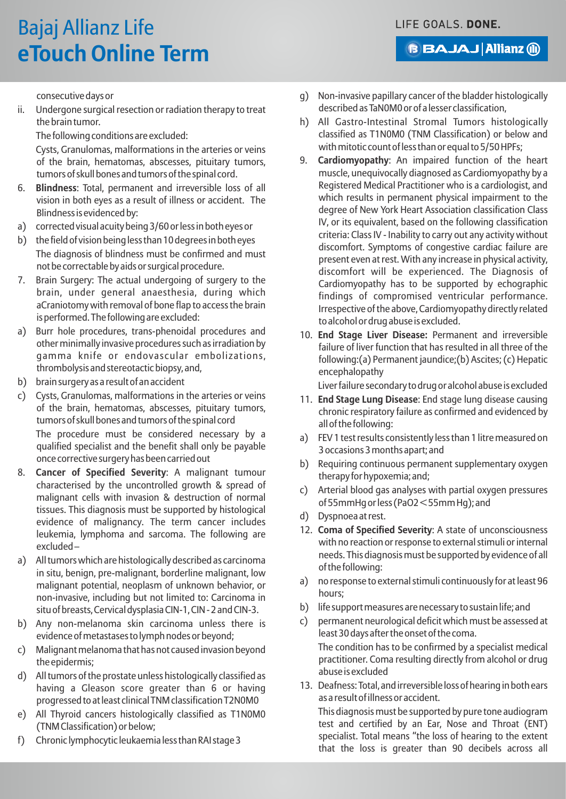# Bajaj Allianz Life **eTouch Online Term**

**BAJAJ Allianz (ii)** 

consecutive days or

ii. Undergone surgical resection or radiation therapy to treat the brain tumor.

The following conditions are excluded:

Cysts, Granulomas, malformations in the arteries or veins of the brain, hematomas, abscesses, pituitary tumors, tumors of skull bones and tumors of the spinal cord.

- 6. **Blindness**: Total, permanent and irreversible loss of all vision in both eyes as a result of illness or accident. The Blindness is evidenced by:
- a) corrected visual acuity being 3/60 or less in both eyes or
- b) the field of vision being less than 10 degrees in both eyes The diagnosis of blindness must be confirmed and must not be correctable by aids or surgical procedure.
- 7. Brain Surgery: The actual undergoing of surgery to the brain, under general anaesthesia, during which aCraniotomy with removal of bone flap to access the brain is performed. The following are excluded:
- a) Burr hole procedures, trans-phenoidal procedures and other minimally invasive procedures such as irradiation by gamma knife or endovascular embolizations, thrombolysis and stereotactic biopsy, and,
- b) brain surgery as a result of an accident
- c) Cysts, Granulomas, malformations in the arteries or veins of the brain, hematomas, abscesses, pituitary tumors, tumors of skull bones and tumors of the spinal cord

The procedure must be considered necessary by a qualified specialist and the benefit shall only be payable once corrective surgery has been carried out

- 8. **Cancer of Specified Severity**: A malignant tumour characterised by the uncontrolled growth & spread of malignant cells with invasion & destruction of normal tissues. This diagnosis must be supported by histological evidence of malignancy. The term cancer includes leukemia, lymphoma and sarcoma. The following are excluded –
- a) All tumors which are histologically described as carcinoma in situ, benign, pre-malignant, borderline malignant, low malignant potential, neoplasm of unknown behavior, or non-invasive, including but not limited to: Carcinoma in situ of breasts, Cervical dysplasia CIN-1, CIN - 2 and CIN-3.
- b) Any non-melanoma skin carcinoma unless there is evidence of metastases to lymph nodes or beyond;
- c) Malignant melanoma that has not caused invasion beyond the epidermis;
- d) All tumors of the prostate unless histologically classified as having a Gleason score greater than 6 or having progressed to at least clinical TNM classification T2N0M0
- e) All Thyroid cancers histologically classified as T1N0M0 (TNM Classification) or below;
- f) Chronic lymphocytic leukaemia less than RAI stage 3
- g) Non-invasive papillary cancer of the bladder histologically described as TaN0M0 or of a lesser classification,
- h) All Gastro-Intestinal Stromal Tumors histologically classified as T1N0M0 (TNM Classification) or below and with mitotic count of less than or equal to 5/50 HPFs;
- 9. **Cardiomyopathy**: An impaired function of the heart muscle, unequivocally diagnosed as Cardiomyopathy by a Registered Medical Practitioner who is a cardiologist, and which results in permanent physical impairment to the degree of New York Heart Association classification Class IV, or its equivalent, based on the following classification criteria: Class IV - Inability to carry out any activity without discomfort. Symptoms of congestive cardiac failure are present even at rest. With any increase in physical activity, discomfort will be experienced. The Diagnosis of Cardiomyopathy has to be supported by echographic findings of compromised ventricular performance. Irrespective of the above, Cardiomyopathy directly related to alcohol or drug abuse is excluded.
- 10. **End Stage Liver Disease:** Permanent and irreversible failure of liver function that has resulted in all three of the following:(a) Permanent jaundice;(b) Ascites; (c) Hepatic encephalopathy

Liver failure secondary to drug or alcohol abuse is excluded

- 11. **End Stage Lung Disease**: End stage lung disease causing chronic respiratory failure as confirmed and evidenced by all of the following:
- a) FEV 1 test results consistently less than 1 litre measured on 3 occasions 3 months apart; and
- b) Requiring continuous permanent supplementary oxygen therapy for hypoxemia; and;
- c) Arterial blood gas analyses with partial oxygen pressures of 55mmHg or less (PaO2 < 55mm Hg); and
- d) Dyspnoea at rest.
- 12. **Coma of Specified Severity**: A state of unconsciousness with no reaction or response to external stimuli or internal needs. This diagnosis must be supported by evidence of all of the following:
- a) no response to external stimuli continuously for at least 96 hours;
- b) life support measures are necessary to sustain life; and
- c) permanent neurological deficit which must be assessed at least 30 days after the onset of the coma. The condition has to be confirmed by a specialist medical practitioner. Coma resulting directly from alcohol or drug abuse is excluded
- 13. Deafness: Total, and irreversible loss of hearing in both ears as a result of illness or accident.

This diagnosis must be supported by pure tone audiogram test and certified by an Ear, Nose and Throat (ENT) specialist. Total means "the loss of hearing to the extent that the loss is greater than 90 decibels across all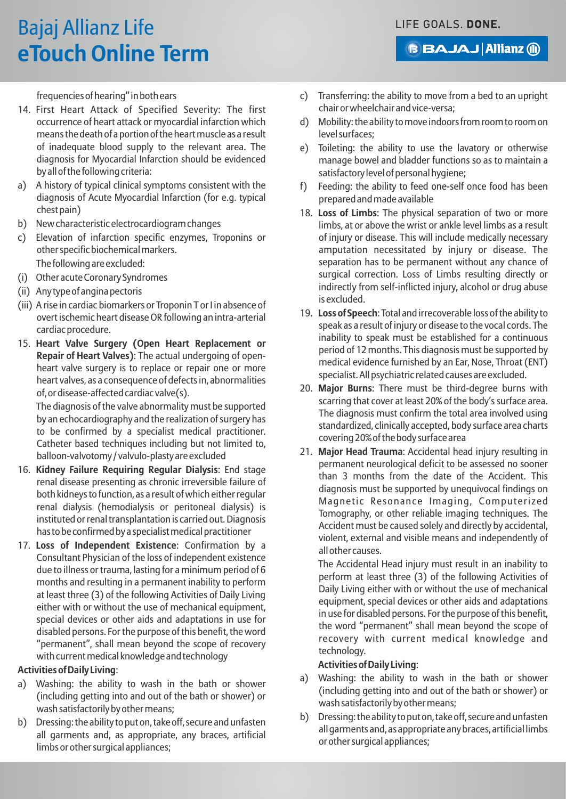**BAJAJ Allianz (ii)** 

frequencies of hearing" in both ears

- 14. First Heart Attack of Specified Severity: The first occurrence of heart attack or myocardial infarction which means the death of a portion of the heart muscle as a result of inadequate blood supply to the relevant area. The diagnosis for Myocardial Infarction should be evidenced by all of the following criteria:
- a) A history of typical clinical symptoms consistent with the diagnosis of Acute Myocardial Infarction (for e.g. typical chest pain)
- b) New characteristic electrocardiogram changes
- c) Elevation of infarction specific enzymes, Troponins or other specific biochemical markers. The following are excluded:
- (i) Other acute Coronary Syndromes
- (ii) Any type of angina pectoris
- (iii) A rise in cardiac biomarkers or Troponin T or I in absence of overt ischemic heart disease OR following an intra-arterial cardiac procedure.
- 15. **Heart Valve Surgery (Open Heart Replacement or Repair of Heart Valves)**: The actual undergoing of openheart valve surgery is to replace or repair one or more heart valves, as a consequence of defects in, abnormalities of, or disease-affected cardiac valve(s).

The diagnosis of the valve abnormality must be supported by an echocardiography and the realization of surgery has to be confirmed by a specialist medical practitioner. Catheter based techniques including but not limited to, balloon-valvotomy / valvulo-plasty are excluded

- 16. **Kidney Failure Requiring Regular Dialysis**: End stage renal disease presenting as chronic irreversible failure of both kidneys to function, as a result of which either regular renal dialysis (hemodialysis or peritoneal dialysis) is instituted or renal transplantation is carried out. Diagnosis has to be confirmed by a specialist medical practitioner
- 17. **Loss of Independent Existence**: Confirmation by a Consultant Physician of the loss of independent existence due to illness or trauma, lasting for a minimum period of 6 months and resulting in a permanent inability to perform at least three (3) of the following Activities of Daily Living either with or without the use of mechanical equipment, special devices or other aids and adaptations in use for disabled persons. For the purpose of this benefit, the word "permanent", shall mean beyond the scope of recovery with current medical knowledge and technology

#### **Activities of Daily Living**:

- a) Washing: the ability to wash in the bath or shower (including getting into and out of the bath or shower) or wash satisfactorily by other means;
- b) Dressing: the ability to put on, take off, secure and unfasten all garments and, as appropriate, any braces, artificial limbs or other surgical appliances;
- c) Transferring: the ability to move from a bed to an upright chair or wheelchair and vice-versa;
- d) Mobility: the ability to move indoors from room to room on level surfaces;
- e) Toileting: the ability to use the lavatory or otherwise manage bowel and bladder functions so as to maintain a satisfactory level of personal hygiene;
- f) Feeding: the ability to feed one-self once food has been prepared and made available
- 18. **Loss of Limbs**: The physical separation of two or more limbs, at or above the wrist or ankle level limbs as a result of injury or disease. This will include medically necessary amputation necessitated by injury or disease. The separation has to be permanent without any chance of surgical correction. Loss of Limbs resulting directly or indirectly from self-inflicted injury, alcohol or drug abuse is excluded.
- 19. **Loss of Speech**: Total and irrecoverable loss of the ability to speak as a result of injury or disease to the vocal cords. The inability to speak must be established for a continuous period of 12 months. This diagnosis must be supported by medical evidence furnished by an Ear, Nose, Throat (ENT) specialist. All psychiatric related causes are excluded.
- 20. **Major Burns**: There must be third-degree burns with scarring that cover at least 20% of the body's surface area. The diagnosis must confirm the total area involved using standardized, clinically accepted, body surface area charts covering 20% of the body surface area
- 21. **Major Head Trauma**: Accidental head injury resulting in permanent neurological deficit to be assessed no sooner than 3 months from the date of the Accident. This diagnosis must be supported by unequivocal findings on Magnetic Resonance Imaging, Computerized Tomography, or other reliable imaging techniques. The Accident must be caused solely and directly by accidental, violent, external and visible means and independently of all other causes.

The Accidental Head injury must result in an inability to perform at least three (3) of the following Activities of Daily Living either with or without the use of mechanical equipment, special devices or other aids and adaptations in use for disabled persons. For the purpose of this benefit, the word "permanent" shall mean beyond the scope of recovery with current medical knowledge and technology.

#### **Activities of Daily Living**:

- a) Washing: the ability to wash in the bath or shower (including getting into and out of the bath or shower) or wash satisfactorily by other means;
- b) Dressing: the ability to put on, take off, secure and unfasten all garments and, as appropriate any braces, artificial limbs or other surgical appliances;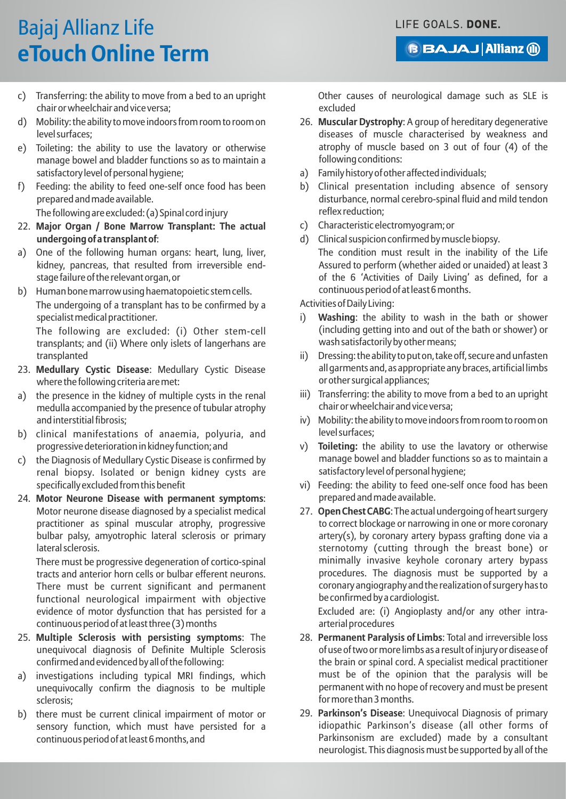**BBAJAJ Allianz @** 

# Bajaj Allianz Life **eTouch Online Term**

- c) Transferring: the ability to move from a bed to an upright chair or wheelchair and vice versa;
- d) Mobility: the ability to move indoors from room to room on level surfaces;
- e) Toileting: the ability to use the lavatory or otherwise manage bowel and bladder functions so as to maintain a satisfactory level of personal hygiene;
- f) Feeding: the ability to feed one-self once food has been prepared and made available.

The following are excluded: (a) Spinal cord injury

- 22. **Major Organ / Bone Marrow Transplant: The actual undergoing of a transplant of**:
- a) One of the following human organs: heart, lung, liver, kidney, pancreas, that resulted from irreversible endstage failure of the relevant organ, or
- b) Human bone marrow using haematopoietic stem cells. The undergoing of a transplant has to be confirmed by a specialist medical practitioner.

The following are excluded: (i) Other stem-cell transplants; and (ii) Where only islets of langerhans are transplanted

- 23. **Medullary Cystic Disease**: Medullary Cystic Disease where the following criteria are met:
- a) the presence in the kidney of multiple cysts in the renal medulla accompanied by the presence of tubular atrophy and interstitial fibrosis;
- b) clinical manifestations of anaemia, polyuria, and progressive deterioration in kidney function; and
- the Diagnosis of Medullary Cystic Disease is confirmed by renal biopsy. Isolated or benign kidney cysts are specifically excluded from this benefit
- 24. **Motor Neurone Disease with permanent symptoms**: Motor neurone disease diagnosed by a specialist medical practitioner as spinal muscular atrophy, progressive bulbar palsy, amyotrophic lateral sclerosis or primary lateral sclerosis.

There must be progressive degeneration of cortico-spinal tracts and anterior horn cells or bulbar efferent neurons. There must be current significant and permanent functional neurological impairment with objective evidence of motor dysfunction that has persisted for a continuous period of at least three (3) months

- 25. **Multiple Sclerosis with persisting symptoms**: The unequivocal diagnosis of Definite Multiple Sclerosis confirmed and evidenced by all of the following:
- a) investigations including typical MRI findings, which unequivocally confirm the diagnosis to be multiple sclerosis;
- b) there must be current clinical impairment of motor or sensory function, which must have persisted for a continuous period of at least 6 months, and

Other causes of neurological damage such as SLE is excluded

- 26. **Muscular Dystrophy**: A group of hereditary degenerative diseases of muscle characterised by weakness and atrophy of muscle based on 3 out of four (4) of the following conditions:
- a) Family history of other affected individuals;
- b) Clinical presentation including absence of sensory disturbance, normal cerebro-spinal fluid and mild tendon reflex reduction;
- c) Characteristic electromyogram; or
- d) Clinical suspicion confirmed by muscle biopsy.
	- The condition must result in the inability of the Life Assured to perform (whether aided or unaided) at least 3 of the 6 'Activities of Daily Living' as defined, for a continuous period of at least 6 months.

#### Activities of Daily Living:

- i) **Washing**: the ability to wash in the bath or shower (including getting into and out of the bath or shower) or wash satisfactorily by other means;
- ii) Dressing: the ability to put on, take off, secure and unfasten all garments and, as appropriate any braces, artificial limbs or other surgical appliances;
- iii) Transferring: the ability to move from a bed to an upright chair or wheelchair and vice versa;
- iv) Mobility: the ability to move indoors from room to room on level surfaces;
- v) **Toileting:** the ability to use the lavatory or otherwise manage bowel and bladder functions so as to maintain a satisfactory level of personal hygiene;
- vi) Feeding: the ability to feed one-self once food has been prepared and made available.
- 27. **Open Chest CABG**: The actual undergoing of heart surgery to correct blockage or narrowing in one or more coronary artery(s), by coronary artery bypass grafting done via a sternotomy (cutting through the breast bone) or minimally invasive keyhole coronary artery bypass procedures. The diagnosis must be supported by a coronary angiography and the realization of surgery has to be confirmed by a cardiologist.

Excluded are: (i) Angioplasty and/or any other intraarterial procedures

- 28. **Permanent Paralysis of Limbs**: Total and irreversible loss of use of two or more limbs as a result of injury or disease of the brain or spinal cord. A specialist medical practitioner must be of the opinion that the paralysis will be permanent with no hope of recovery and must be present for more than 3 months.
- 29. **Parkinson's Disease**: Unequivocal Diagnosis of primary idiopathic Parkinson's disease (all other forms of Parkinsonism are excluded) made by a consultant neurologist. This diagnosis must be supported by all of the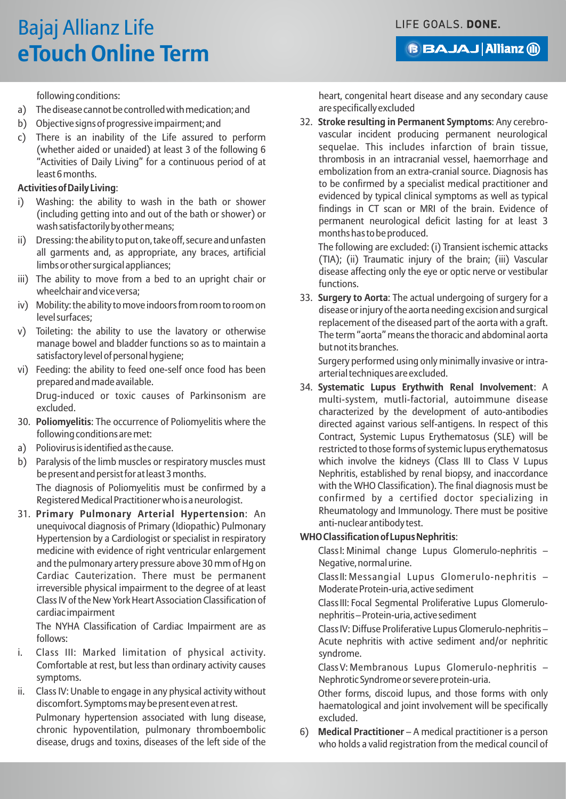**BAJAJ Allianz (ii)** 

following conditions:

- a) The disease cannot be controlled with medication; and
- b) Objective signs of progressive impairment; and
- c) There is an inability of the Life assured to perform (whether aided or unaided) at least 3 of the following 6 "Activities of Daily Living" for a continuous period of at least 6 months.

#### **Activities of Daily Living**:

- Washing: the ability to wash in the bath or shower (including getting into and out of the bath or shower) or wash satisfactorily by other means;
- ii) Dressing: the ability to put on, take off, secure and unfasten all garments and, as appropriate, any braces, artificial limbs or other surgical appliances;
- iii) The ability to move from a bed to an upright chair or wheelchair and vice versa;
- iv) Mobility: the ability to move indoors from room to room on level surfaces;
- v) Toileting: the ability to use the lavatory or otherwise manage bowel and bladder functions so as to maintain a satisfactory level of personal hygiene;
- vi) Feeding: the ability to feed one-self once food has been prepared and made available.

Drug-induced or toxic causes of Parkinsonism are excluded.

- 30. **Poliomyelitis**: The occurrence of Poliomyelitis where the following conditions are met:
- a) Poliovirus is identified as the cause.
- b) Paralysis of the limb muscles or respiratory muscles must be present and persist for at least 3 months. The diagnosis of Poliomyelitis must be confirmed by a Registered Medical Practitioner who is a neurologist.
- 31. **Primary Pulmonary Arterial Hypertension**: An unequivocal diagnosis of Primary (Idiopathic) Pulmonary Hypertension by a Cardiologist or specialist in respiratory medicine with evidence of right ventricular enlargement and the pulmonary artery pressure above 30 mm of Hg on Cardiac Cauterization. There must be permanent irreversible physical impairment to the degree of at least Class IV of the New York Heart Association Classification of cardiac impairment

The NYHA Classification of Cardiac Impairment are as follows:

- i. Class III: Marked limitation of physical activity. Comfortable at rest, but less than ordinary activity causes symptoms.
- ii. Class IV: Unable to engage in any physical activity without discomfort. Symptoms may be present even at rest. Pulmonary hypertension associated with lung disease, chronic hypoventilation, pulmonary thromboembolic disease, drugs and toxins, diseases of the left side of the

heart, congenital heart disease and any secondary cause are specifically excluded

32. **Stroke resulting in Permanent Symptoms**: Any cerebrovascular incident producing permanent neurological sequelae. This includes infarction of brain tissue, thrombosis in an intracranial vessel, haemorrhage and embolization from an extra-cranial source. Diagnosis has to be confirmed by a specialist medical practitioner and evidenced by typical clinical symptoms as well as typical findings in CT scan or MRI of the brain. Evidence of permanent neurological deficit lasting for at least 3 months has to be produced.

The following are excluded: (i) Transient ischemic attacks (TIA); (ii) Traumatic injury of the brain; (iii) Vascular disease affecting only the eye or optic nerve or vestibular functions.

33. **Surgery to Aorta**: The actual undergoing of surgery for a disease or injury of the aorta needing excision and surgical replacement of the diseased part of the aorta with a graft. The term "aorta" means the thoracic and abdominal aorta but not its branches.

Surgery performed using only minimally invasive or intraarterial techniques are excluded.

34. **Systematic Lupus Erythwith Renal Involvement**: A multi-system, mutli-factorial, autoimmune disease characterized by the development of auto-antibodies directed against various self-antigens. In respect of this Contract, Systemic Lupus Erythematosus (SLE) will be restricted to those forms of systemic lupus erythematosus which involve the kidneys (Class III to Class V Lupus Nephritis, established by renal biopsy, and inaccordance with the WHO Classification). The final diagnosis must be confirmed by a certified doctor specializing in Rheumatology and Immunology. There must be positive anti-nuclear antibody test.

#### **WHO Classification of Lupus Nephritis**:

Class I: Minimal change Lupus Glomerulo-nephritis – Negative, normal urine.

Class II: Messangial Lupus Glomerulo-nephritis – Moderate Protein-uria, active sediment

Class III: Focal Segmental Proliferative Lupus Glomerulonephritis – Protein-uria, active sediment

Class IV: Diffuse Proliferative Lupus Glomerulo-nephritis – Acute nephritis with active sediment and/or nephritic syndrome.

Class V: Membranous Lupus Glomerulo-nephritis – Nephrotic Syndrome or severe protein-uria.

Other forms, discoid lupus, and those forms with only haematological and joint involvement will be specifically excluded.

6) **Medical Practitioner** – A medical practitioner is a person who holds a valid registration from the medical council of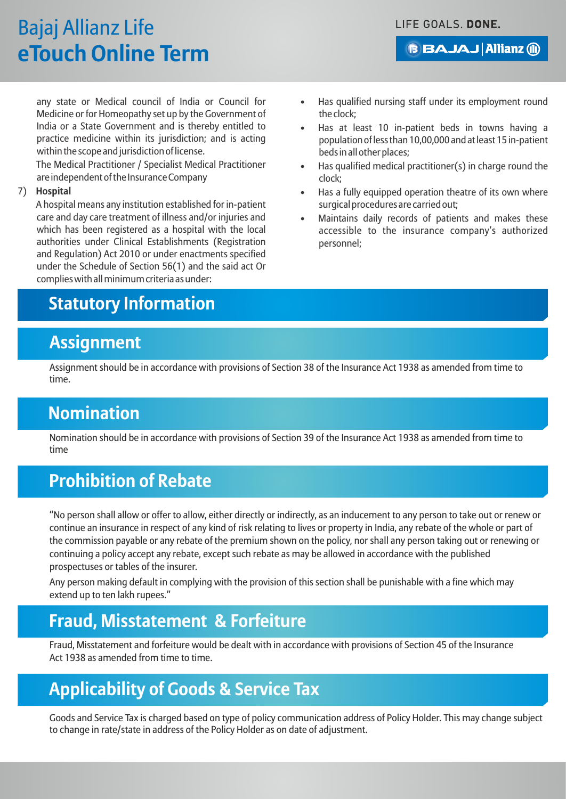# Bajaj Allianz Life **eTouch Online Term**

**BBAJAJ Allianz (ii)** 

any state or Medical council of India or Council for Medicine or for Homeopathy set up by the Government of India or a State Government and is thereby entitled to practice medicine within its jurisdiction; and is acting within the scope and jurisdiction of license.

The Medical Practitioner / Specialist Medical Practitioner are independent of the Insurance Company

#### 7) **Hospital**

A hospital means any institution established for in-patient care and day care treatment of illness and/or injuries and which has been registered as a hospital with the local authorities under Clinical Establishments (Registration and Regulation) Act 2010 or under enactments specified under the Schedule of Section 56(1) and the said act Or complies with all minimum criteria as under:

## **Statutory Information**

### **Assignment**

Assignment should be in accordance with provisions of Section 38 of the Insurance Act 1938 as amended from time to time.

## **Nomination**

Nomination should be in accordance with provisions of Section 39 of the Insurance Act 1938 as amended from time to time

## **Prohibition of Rebate**

"No person shall allow or offer to allow, either directly or indirectly, as an inducement to any person to take out or renew or continue an insurance in respect of any kind of risk relating to lives or property in India, any rebate of the whole or part of the commission payable or any rebate of the premium shown on the policy, nor shall any person taking out or renewing or continuing a policy accept any rebate, except such rebate as may be allowed in accordance with the published prospectuses or tables of the insurer.

Any person making default in complying with the provision of this section shall be punishable with a fine which may extend up to ten lakh rupees."

## **Fraud, Misstatement & Forfeiture**

Fraud, Misstatement and forfeiture would be dealt with in accordance with provisions of Section 45 of the Insurance Act 1938 as amended from time to time.

### **Applicability of Goods & Service Tax**

Goods and Service Tax is charged based on type of policy communication address of Policy Holder. This may change subject to change in rate/state in address of the Policy Holder as on date of adjustment.

- Has qualified nursing staff under its employment round the clock;
- Has at least 10 in-patient beds in towns having a population of less than 10,00,000 and at least 15 in-patient beds in all other places;
- Has qualified medical practitioner(s) in charge round the clock;
- Has a fully equipped operation theatre of its own where surgical procedures are carried out;
- Maintains daily records of patients and makes these accessible to the insurance company's authorized personnel;